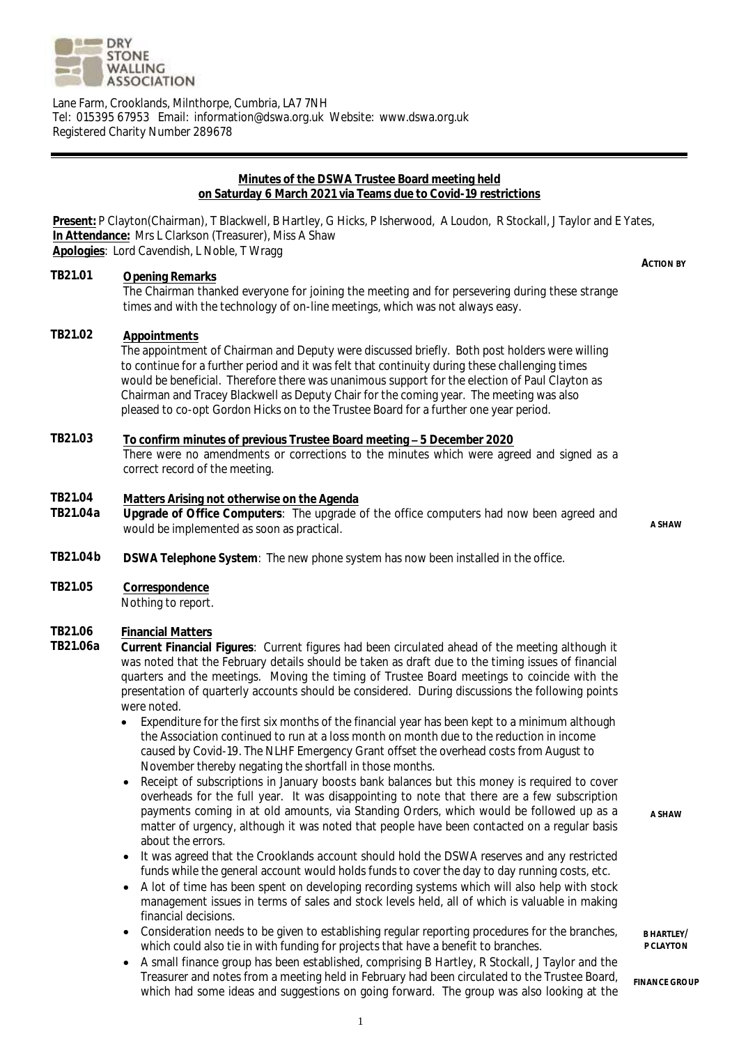

Lane Farm, Crooklands, Milnthorpe, Cumbria, LA7 7NH Tel: 015395 67953 Email: information@dswa.org.uk Website: www.dswa.org.uk Registered Charity Number 289678

#### **Minutes of the DSWA Trustee Board meeting held on Saturday 6 March 2021 via Teams due to Covid-19 restrictions**

**Present:** P Clayton(Chairman), T Blackwell, B Hartley, G Hicks, P Isherwood, A Loudon, R Stockall, J Taylor and E Yates, **In Attendance:** Mrs L Clarkson (Treasurer), Miss A Shaw **Apologies**: Lord Cavendish, L Noble, T Wragg **ACTION BY**

## **TB21.01 Opening Remarks**

The Chairman thanked everyone for joining the meeting and for persevering during these strange times and with the technology of on-line meetings, which was not always easy.

#### **TB21.02 Appointments**

The appointment of Chairman and Deputy were discussed briefly. Both post holders were willing to continue for a further period and it was felt that continuity during these challenging times would be beneficial. Therefore there was unanimous support for the election of Paul Clayton as Chairman and Tracey Blackwell as Deputy Chair for the coming year. The meeting was also pleased to co-opt Gordon Hicks on to the Trustee Board for a further one year period.

## **TB21.03 To confirm minutes of previous Trustee Board meeting 5 December 2020** There were no amendments or corrections to the minutes which were agreed and signed as a correct record of the meeting.

## **TB21.04 Matters Arising not otherwise on the Agenda**

**TB21.04a Upgrade of Office Computers**: The upgrade of the office computers had now been agreed and would be implemented as soon as practical.<br>M A SHAW

**TB21.04b DSWA Telephone System**: The new phone system has now been installed in the office.

**TB21.05 Correspondence** Nothing to report.

# **TB21.06 Financial Matters**

- **TB21.06a Current Financial Figures**: Current figures had been circulated ahead of the meeting although it was noted that the February details should be taken as draft due to the timing issues of financial quarters and the meetings. Moving the timing of Trustee Board meetings to coincide with the presentation of quarterly accounts should be considered. During discussions the following points were noted.
	- Expenditure for the first six months of the financial year has been kept to a minimum although the Association continued to run at a loss month on month due to the reduction in income caused by Covid-19. The NLHF Emergency Grant offset the overhead costs from August to November thereby negating the shortfall in those months.
	- Receipt of subscriptions in January boosts bank balances but this money is required to cover overheads for the full year. It was disappointing to note that there are a few subscription payments coming in at old amounts, via Standing Orders, which would be followed up as a matter of urgency, although it was noted that people have been contacted on a regular basis about the errors.
	- It was agreed that the Crooklands account should hold the DSWA reserves and any restricted funds while the general account would holds funds to cover the day to day running costs, etc.
	- A lot of time has been spent on developing recording systems which will also help with stock management issues in terms of sales and stock levels held, all of which is valuable in making financial decisions.
	- Consideration needs to be given to establishing regular reporting procedures for the branches, which could also tie in with funding for projects that have a benefit to branches.
	- A small finance group has been established, comprising B Hartley, R Stockall, J Taylor and the Treasurer and notes from a meeting held in February had been circulated to the Trustee Board, which had some ideas and suggestions on going forward. The group was also looking at the

**A SHAW**

**B HARTLEY/ P CLAYTON**

**FINANCE GROUP**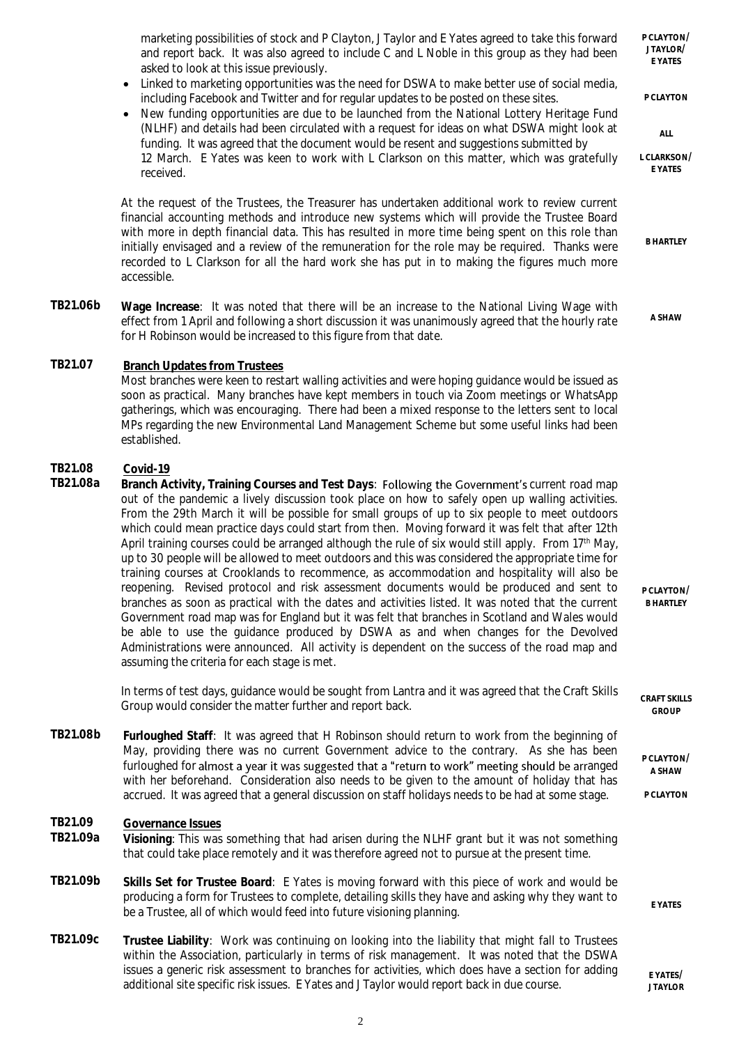marketing possibilities of stock and P Clayton, J Taylor and E Yates agreed to take this forward and report back. It was also agreed to include C and L Noble in this group as they had been asked to look at this issue previously.

- Linked to marketing opportunities was the need for DSWA to make better use of social media, including Facebook and Twitter and for regular updates to be posted on these sites.
- New funding opportunities are due to be launched from the National Lottery Heritage Fund (NLHF) and details had been circulated with a request for ideas on what DSWA might look at funding. It was agreed that the document would be resent and suggestions submitted by 12 March. E Yates was keen to work with L Clarkson on this matter, which was gratefully received.

At the request of the Trustees, the Treasurer has undertaken additional work to review current financial accounting methods and introduce new systems which will provide the Trustee Board with more in depth financial data. This has resulted in more time being spent on this role than initially envisaged and a review of the remuneration for the role may be required. Thanks were recorded to L Clarkson for all the hard work she has put in to making the figures much more accessible.

**TB21.06b Wage Increase**: It was noted that there will be an increase to the National Living Wage with effect from 1 April and following a short discussion it was unanimously agreed that the hourly rate for H Robinson would be increased to this figure from that date.

# **TB21.07 Branch Updates from Trustees**

Most branches were keen to restart walling activities and were hoping guidance would be issued as soon as practical. Many branches have kept members in touch via Zoom meetings or WhatsApp gatherings, which was encouraging. There had been a mixed response to the letters sent to local MPs regarding the new Environmental Land Management Scheme but some useful links had been established.

# **TB21.08 Covid-19**

**TB21.08a** Branch Activity, Training Courses and Test Days: Following the Government's current road map out of the pandemic a lively discussion took place on how to safely open up walling activities. From the 29th March it will be possible for small groups of up to six people to meet outdoors which could mean practice days could start from then. Moving forward it was felt that after 12th April training courses could be arranged although the rule of six would still apply. From 17<sup>th</sup> May, up to 30 people will be allowed to meet outdoors and this was considered the appropriate time for training courses at Crooklands to recommence, as accommodation and hospitality will also be reopening. Revised protocol and risk assessment documents would be produced and sent to branches as soon as practical with the dates and activities listed. It was noted that the current Government road map was for England but it was felt that branches in Scotland and Wales would be able to use the guidance produced by DSWA as and when changes for the Devolved Administrations were announced. All activity is dependent on the success of the road map and assuming the criteria for each stage is met.

> In terms of test days, guidance would be sought from Lantra and it was agreed that the Craft Skills Group would consider the matter further and report back.

**TB21.08b Furloughed Staff**: It was agreed that H Robinson should return to work from the beginning of May, providing there was no current Government advice to the contrary. As she has been furloughed for almost a year it was suggested that a "return to work" meeting should be arranged with her beforehand. Consideration also needs to be given to the amount of holiday that has accrued. It was agreed that a general discussion on staff holidays needs to be had at some stage.

#### **TB21.09 Governance Issues**

- **TB21.09a Visioning**: This was something that had arisen during the NLHF grant but it was not something that could take place remotely and it was therefore agreed not to pursue at the present time.
- **TB21.09b Skills Set for Trustee Board**: E Yates is moving forward with this piece of work and would be producing a form for Trustees to complete, detailing skills they have and asking why they want to be a Trustee, all of which would feed into future visioning planning. **E YATES**
- **TB21.09c Trustee Liability**: Work was continuing on looking into the liability that might fall to Trustees within the Association, particularly in terms of risk management. It was noted that the DSWA issues a generic risk assessment to branches for activities, which does have a section for adding additional site specific risk issues. E Yates and J Taylor would report back in due course.

**P CLAYTON/ J TAYLOR/ E YATES P CLAYTON ALL L CLARKSON/ E YATES**

**B HARTLEY**

**A SHAW**

**P CLAYTON/ B HARTLEY**

**CRAFT SKILLS GROUP**

**P CLAYTON/ A SHAW**

**P CLAYTON**

**E YATES/ J TAYLOR**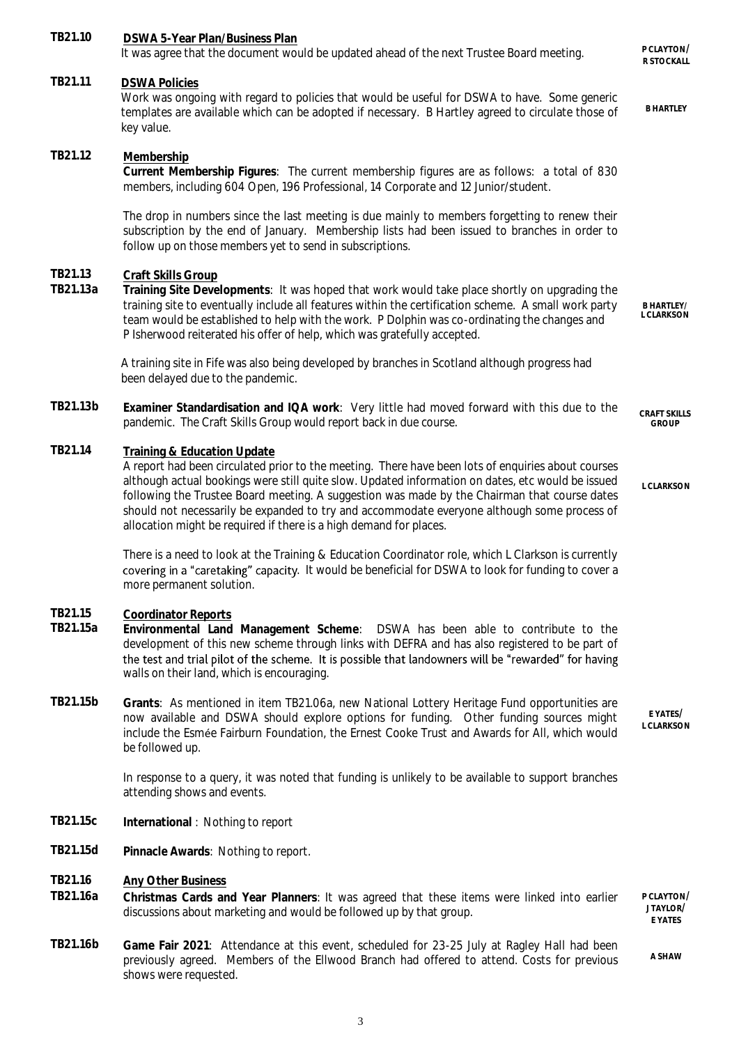| TB21.10             | DSWA 5-Year Plan/Business Plan<br>It was agree that the document would be updated ahead of the next Trustee Board meeting.                                                                                                                                                                                                                                                                                                                                                                                  | P CLAYTON/<br>R STOCKALL            |
|---------------------|-------------------------------------------------------------------------------------------------------------------------------------------------------------------------------------------------------------------------------------------------------------------------------------------------------------------------------------------------------------------------------------------------------------------------------------------------------------------------------------------------------------|-------------------------------------|
| TB21.11             | <b>DSWA Policies</b><br>Work was ongoing with regard to policies that would be useful for DSWA to have. Some generic<br>templates are available which can be adopted if necessary. B Hartley agreed to circulate those of<br>key value.                                                                                                                                                                                                                                                                     | <b>B HARTLEY</b>                    |
| TB21.12             | Membership<br>Current Membership Figures: The current membership figures are as follows: a total of 830<br>members, including 604 Open, 196 Professional, 14 Corporate and 12 Junior/student.                                                                                                                                                                                                                                                                                                               |                                     |
|                     | The drop in numbers since the last meeting is due mainly to members forgetting to renew their<br>subscription by the end of January. Membership lists had been issued to branches in order to<br>follow up on those members yet to send in subscriptions.                                                                                                                                                                                                                                                   |                                     |
| TB21.13<br>TB21.13a | Craft Skills Group<br>Training Site Developments: It was hoped that work would take place shortly on upgrading the<br>training site to eventually include all features within the certification scheme. A small work party<br>team would be established to help with the work. P Dolphin was co-ordinating the changes and<br>P Isherwood reiterated his offer of help, which was gratefully accepted.                                                                                                      | <b>B HARTLEY/</b><br>L CLARKSON     |
|                     | A training site in Fife was also being developed by branches in Scotland although progress had<br>been delayed due to the pandemic.                                                                                                                                                                                                                                                                                                                                                                         |                                     |
| TB21.13b            | Examiner Standardisation and IQA work: Very little had moved forward with this due to the<br>pandemic. The Craft Skills Group would report back in due course.                                                                                                                                                                                                                                                                                                                                              | <b>CRAFT SKILLS</b><br><b>GROUP</b> |
| TB21.14             | Training & Education Update<br>A report had been circulated prior to the meeting. There have been lots of enquiries about courses<br>although actual bookings were still quite slow. Updated information on dates, etc would be issued<br>following the Trustee Board meeting. A suggestion was made by the Chairman that course dates<br>should not necessarily be expanded to try and accommodate everyone although some process of<br>allocation might be required if there is a high demand for places. | L CLARKSON                          |
|                     | There is a need to look at the Training & Education Coordinator role, which L Clarkson is currently<br>covering in a "caretaking" capacity. It would be beneficial for DSWA to look for funding to cover a<br>more permanent solution.                                                                                                                                                                                                                                                                      |                                     |
| TB21.15<br>TB21.15a | <b>Coordinator Reports</b><br>Environmental Land Management Scheme: DSWA has been able to contribute to the<br>development of this new scheme through links with DEFRA and has also registered to be part of<br>the test and trial pilot of the scheme. It is possible that landowners will be "rewarded" for having<br>walls on their land, which is encouraging.                                                                                                                                          |                                     |
| TB21.15b            | Grants: As mentioned in item TB21.06a, new National Lottery Heritage Fund opportunities are<br>now available and DSWA should explore options for funding. Other funding sources might<br>include the Esmée Fairburn Foundation, the Ernest Cooke Trust and Awards for All, which would<br>be followed up.                                                                                                                                                                                                   | E YATES/<br>L CLARKSON              |
|                     | In response to a query, it was noted that funding is unlikely to be available to support branches<br>attending shows and events.                                                                                                                                                                                                                                                                                                                                                                            |                                     |
| TB21.15c            | International: Nothing to report                                                                                                                                                                                                                                                                                                                                                                                                                                                                            |                                     |
| TB21.15d            | Pinnacle Awards: Nothing to report.                                                                                                                                                                                                                                                                                                                                                                                                                                                                         |                                     |
| TB21.16<br>TB21.16a | <b>Any Other Business</b><br>Christmas Cards and Year Planners: It was agreed that these items were linked into earlier<br>discussions about marketing and would be followed up by that group.                                                                                                                                                                                                                                                                                                              | P CLAYTON/<br>JTAYLOR/<br>E YATES   |

**TB21.16b Game Fair 2021**: Attendance at this event, scheduled for 23-25 July at Ragley Hall had been previously agreed. Members of the Ellwood Branch had offered to attend. Costs for previous shows were requested.

**A SHAW**